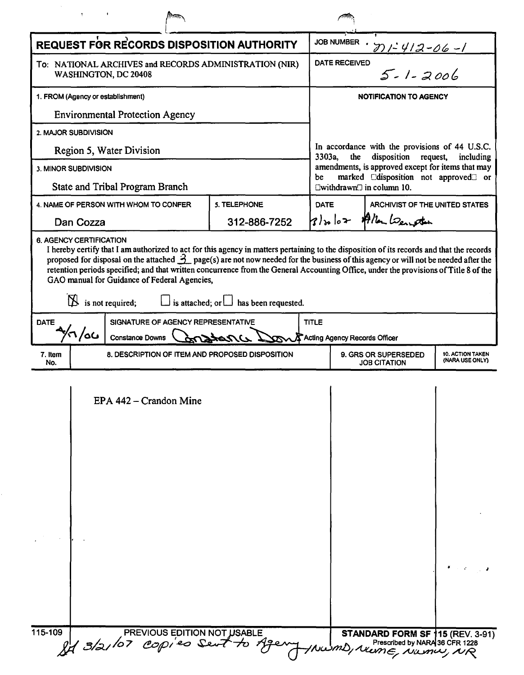|                                                                |     | REQUEST FOR RECORDS DISPOSITION AUTHORITY                                                                          |                                            |              | <b>JOB NUMBER</b><br>$21 - 412 - 06 - 1$                                                                                                                                                                                                                                                               |  |
|----------------------------------------------------------------|-----|--------------------------------------------------------------------------------------------------------------------|--------------------------------------------|--------------|--------------------------------------------------------------------------------------------------------------------------------------------------------------------------------------------------------------------------------------------------------------------------------------------------------|--|
|                                                                |     | To: NATIONAL ARCHIVES and RECORDS ADMINISTRATION (NIR)<br>WASHINGTON, DC 20408                                     |                                            |              | $5 - 1 - 2006$<br><b>DATE RECEIVED</b>                                                                                                                                                                                                                                                                 |  |
| 1. FROM (Agency or establishment)                              |     |                                                                                                                    |                                            |              | NOTIFICATION TO AGENCY                                                                                                                                                                                                                                                                                 |  |
| <b>Environmental Protection Agency</b>                         |     |                                                                                                                    |                                            |              |                                                                                                                                                                                                                                                                                                        |  |
| 2. MAJOR SUBDIVISION                                           |     |                                                                                                                    |                                            |              |                                                                                                                                                                                                                                                                                                        |  |
| Region 5, Water Division                                       |     |                                                                                                                    |                                            |              | In accordance with the provisions of 44 U.S.C.<br>3303a,<br>disposition<br>the<br>request,<br>including<br>amendments, is approved except for items that may<br>marked Cdisposition not approved <sup>o</sup> or<br>be<br>$\square$ withdrawn $\square$ in column 10.                                  |  |
| 3. MINOR SUBDIVISION<br><b>State and Tribal Program Branch</b> |     |                                                                                                                    |                                            |              |                                                                                                                                                                                                                                                                                                        |  |
| 5. TELEPHONE<br>4. NAME OF PERSON WITH WHOM TO CONFER          |     |                                                                                                                    |                                            |              | DATE<br>ARCHIVIST OF THE UNITED STATES                                                                                                                                                                                                                                                                 |  |
| Dan Cozza                                                      |     |                                                                                                                    |                                            | 312-886-7252 | 3) so los Allen Lengten                                                                                                                                                                                                                                                                                |  |
| <b>DATE</b>                                                    |     | GAO manual for Guidance of Federal Agencies,<br>$\mathbb N$ is not required;<br>SIGNATURE OF AGENCY REPRESENTATIVE | is attached; or $\Box$ has been requested. |              | proposed for disposal on the attached $\frac{3}{2}$ page(s) are not now needed for the business of this agency or will not be needed after the<br>retention periods specified; and that written concurrence from the General Accounting Office, under the provisions of Title 8 of the<br><b>TITLE</b> |  |
|                                                                | 'ەك | <b>Constance Downs</b>                                                                                             |                                            |              | Acting Agency Records Officer                                                                                                                                                                                                                                                                          |  |
| 7. Item<br>No.                                                 |     | 8. DESCRIPTION OF ITEM AND PROPOSED DISPOSITION                                                                    |                                            |              | 9. GRS OR SUPERSEDED<br><b>10. ACTION TAKEN</b><br>(NARA USE ONLY)<br><b>JOB CITATION</b>                                                                                                                                                                                                              |  |
|                                                                |     | EPA 442 – Crandon Mine                                                                                             |                                            |              |                                                                                                                                                                                                                                                                                                        |  |
| 115-109                                                        |     | of 3/2/07 copies Sent to Age                                                                                       | PREVIOUS EDITION NOT USABLE                |              | STANDARD FORM SF 115 (REV. 3-91)<br>Prescribed by NARA 36 CFR 1228<br>S/Neme, Nama, NR                                                                                                                                                                                                                 |  |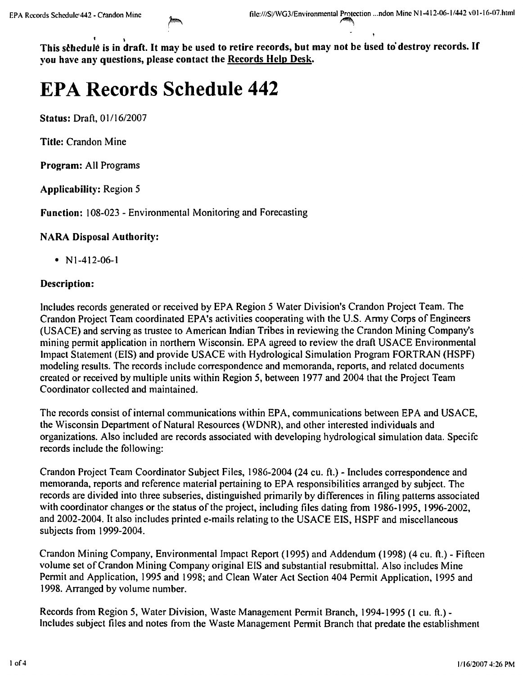$\mathbf{r} = \mathbf{r}$ This schedule is in draft. It may be used to retire records, but may not be used to destroy records. If you have any questions, please contact the Records Help Desk.

# **EPA Records Schedule 442**

Status: Draft, *01116/2007*

Title: Crandon Mine

Program: All Programs

Applicability: Region 5

Function: 108-023 - Environmental Monitoring and Forecasting

# NARA Disposal Authority:

• NI-412-06-1

# Description:

Includes records generated or received by EPA Region 5 Water Division's Crandon Project Team. The Crandon Project Team coordinated EPA's activities cooperating with the U.S. Army Corps of Engineers (USACE) and serving as trustee to American Indian Tribes in reviewing the Crandon Mining Company's mining permit application in northern Wisconsin. EPA agreed to review the draft USACE Environmental Impact Statement (EIS) and provide USACE with Hydrological Simulation Program FORTRAN (HSPF) modeling results. The records include correspondence and memoranda, reports, and related documents created or received by multiple units within Region 5, between 1977 and 2004 that the Project Team Coordinator collected and maintained.

The records consist of internal communications within EPA, communications between EPA and USACE, the Wisconsin Department of Natural Resources (WDNR), and other interested individuals and organizations. Also included are records associated with developing hydrological simulation data. Specifc records include the following:

Crandon Project Team Coordinator Subject Files, 1986-2004 (24 cu. ft.) - Includes correspondence and memoranda, reports and reference material pertaining to EPA responsibilities arranged by subject. The records are divided into three subseries, distinguished primarily by differences in filing patterns associated with coordinator changes or the status of the project, including files dating from 1986-1995, 1996-2002, and 2002-2004. It also includes printed e-mails relating to the USACE EIS, HSPF and miscellaneous subjects from 1999-2004.

Crandon Mining Company, Environmental Impact Report (1995) and Addendum (1998) (4 cu. ft.) - Fifteen volume set of Crandon Mining Company original EIS and substantial resubmittal. Also includes Mine Permit and Application, 1995 and 1998; and Clean Water Act Section 404 Permit Application, 1995 and 1998. Arranged by volume number.

Records from Region 5, Water Division, Waste Management Permit Branch, 1994-1995 (I cu. ft.) - Includes subject files and notes from the Waste Management Permit Branch that predate the establishment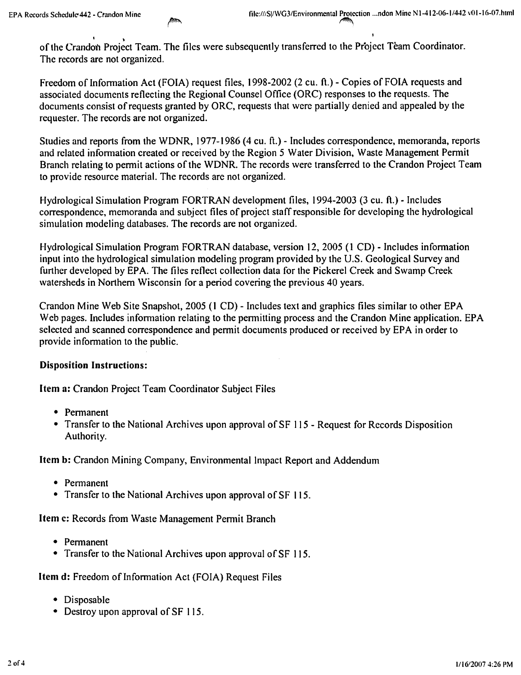$\sqrt{ }$ of the Crandon Project Team. The files were subsequently transferred to the Project Team Coordinator. The records are not organized.

Freedom of Information Act (FOIA) request files, 1998-2002 (2 cu. ft.) - Copies of FOIA requests and associated documents reflecting the Regional Counsel Office (ORC) responses to the requests. The documents consist of requests granted by ORC, requests that were partially denied and appealed by the requester. The records are not organized.

Studies and reports from the WDNR, 1977-1986 (4 cu. ft.) - Includes correspondence, memoranda, reports and related information created or received by the Region 5 Water Division, Waste Management Permit Branch relating to permit actions of the WDNR. The records were transferred to the Crandon Project Team to provide resource material. The records are not organized.

Hydrological Simulation Program FORTRAN development files, 1994-2003 (3 cu. ft.) - Includes correspondence, memoranda and subject files of project staff responsible for developing the hydrological simulation modeling databases. The records are not organized.

Hydrological Simulation Program FORTRAN database, version 12,2005 (1 CD) - Includes information input into the hydrological simulation modeling program provided by the U.S. Geological Survey and further developed by EPA. The files reflect collection data for the Pickerel Creek and Swamp Creek watersheds in Northern Wisconsin for a period covering the previous 40 years.

Crandon Mine Web Site Snapshot, 2005 (1 CD) - Includes text and graphics files similar to other EPA Web pages. Includes information relating to the permitting process and the Crandon Mine application. EPA selected and scanned correspondence and permit documents produced or received by EPA in order to provide information to the public,

# Disposition Instructions:

Item a: Crandon Project Team Coordinator Subject Files

- • Permanent
- Transfer to the National Archives upon approval of SF 115 Request for Records Disposition Authority.

Item b: Crandon Mining Company, Environmental Impact Report and Addendum

- Permanent
- Transfer to the National Archives upon approval of SF 115.

Item c: Records from Waste Management Permit Branch

- Permanent
- Transfer to the National Archives upon approval of SF 115.

Item d: Freedom of Information Act (FOIA) Request Files

- Disposable
- Destroy upon approval of SF 115.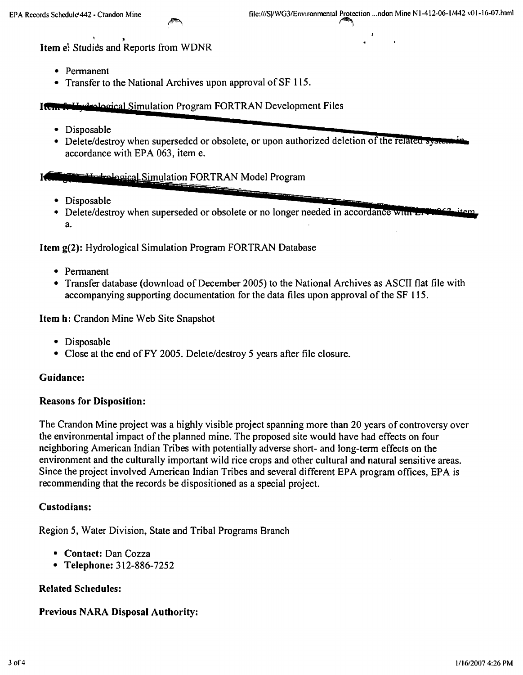$\int$ 

Item e: Studies and Reports from WDNR

- • Permanent
- Transfer to the National Archives upon approval of SF 115.

#### **Item for Lydralogical Simulation Program FORTRAN Development Files**

- Disposable **Figure 2014** 
	- Delete/destroy when superseded or obsolete, or upon authorized deletion of th accordance with EPA 063, item e.

# 14. Disposable **14. In the contract of the contract of the contract of the contract of the contract of the contract of the contract of the contract of the contract of the contract of the contract of the contract of the con**

- 
- Delete/destroy when superseded or obsolete or no longer needed in accordance winn a.

Item g(2): Hydrological Simulation Program FORTRAN Database

- • Permanent
- Transfer database (download of December 2005) to the National Archives as ASCII flat file with accompanying supporting documentation for the data files upon approval of the SF 115.

Item h: Crandon Mine Web Site Snapshot

- Disposable
- Close at the end of FY 2005. Delete/destroy 5 years after file closure.

#### Guidance:

#### Reasons for Disposition:

The Crandon Mine project was a highly visible project spanning more than 20 years of controversy over the environmental impact of the planned mine. The proposed site would have had effects on four neighboring American Indian Tribes with potentially adverse short- and long-term effects on the environment and the culturally important wild rice crops and other cultural and natural sensitive areas. Since the project involved American Indian Tribes and several different EPA program offices, EPA is recommending that the records be dispositioned as a special project.

#### Custodians:

Region 5, Water Division, State and Tribal Programs Branch

- Contact: Dan Cozza
- • Telephone: 312-886-7252

#### Related Schedules:

# Previous NARA Disposal Authority: